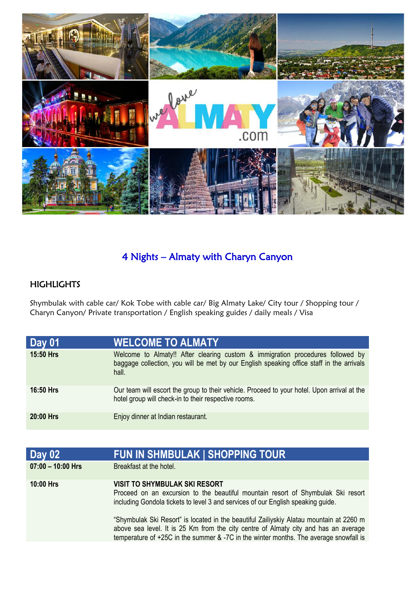

## 4 Nights – Almaty with Charyn Canyon

## **HIGHLIGHTS**

Shymbulak with cable car/ Kok Tobe with cable car/ Big Almaty Lake/ City tour / Shopping tour / Charyn Canyon/ Private transportation / English speaking guides / daily meals / Visa

| <b>Day 01</b>    | <b>WELCOME TO ALMATY</b>                                                                                                                                                            |
|------------------|-------------------------------------------------------------------------------------------------------------------------------------------------------------------------------------|
| 15:50 Hrs        | Welcome to Almaty!! After clearing custom & immigration procedures followed by<br>baggage collection, you will be met by our English speaking office staff in the arrivals<br>hall. |
| <b>16:50 Hrs</b> | Our team will escort the group to their vehicle. Proceed to your hotel. Upon arrival at the<br>hotel group will check-in to their respective rooms.                                 |
| $20:00$ Hrs      | Enjoy dinner at Indian restaurant.                                                                                                                                                  |

| <b>Day 02</b>       | <b>FUN IN SHMBULAK   SHOPPING TOUR</b>                                                                                                                                                                                                                                  |
|---------------------|-------------------------------------------------------------------------------------------------------------------------------------------------------------------------------------------------------------------------------------------------------------------------|
| $07:00 - 10:00$ Hrs | Breakfast at the hotel.                                                                                                                                                                                                                                                 |
| <b>10:00 Hrs</b>    | <b>VISIT TO SHYMBULAK SKI RESORT</b><br>Proceed on an excursion to the beautiful mountain resort of Shymbulak Ski resort<br>including Gondola tickets to level 3 and services of our English speaking guide.                                                            |
|                     | "Shymbulak Ski Resort" is located in the beautiful Zailiyskiy Alatau mountain at 2260 m<br>above sea level. It is 25 Km from the city centre of Almaty city and has an average<br>temperature of +25C in the summer & -7C in the winter months. The average snowfall is |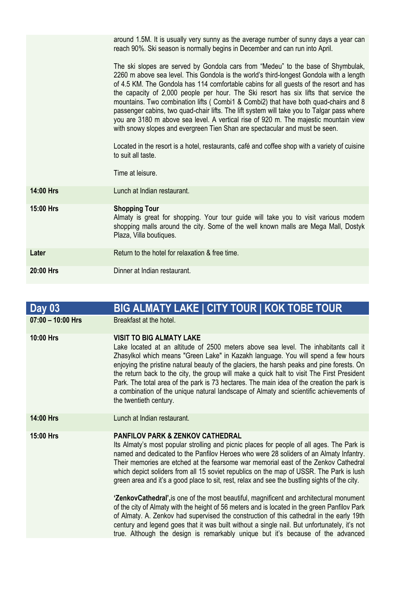|                  | around 1.5M. It is usually very sunny as the average number of sunny days a year can<br>reach 90%. Ski season is normally begins in December and can run into April.                                                                                                                                                                                                                                                                                                                                                                                                                                                                                                                                                                                                                                                                                                 |
|------------------|----------------------------------------------------------------------------------------------------------------------------------------------------------------------------------------------------------------------------------------------------------------------------------------------------------------------------------------------------------------------------------------------------------------------------------------------------------------------------------------------------------------------------------------------------------------------------------------------------------------------------------------------------------------------------------------------------------------------------------------------------------------------------------------------------------------------------------------------------------------------|
|                  | The ski slopes are served by Gondola cars from "Medeu" to the base of Shymbulak,<br>2260 m above sea level. This Gondola is the world's third-longest Gondola with a length<br>of 4.5 KM. The Gondola has 114 comfortable cabins for all guests of the resort and has<br>the capacity of 2,000 people per hour. The Ski resort has six lifts that service the<br>mountains. Two combination lifts (Combi1 & Combi2) that have both quad-chairs and 8<br>passenger cabins, two quad-chair lifts. The lift system will take you to Talgar pass where<br>you are 3180 m above sea level. A vertical rise of 920 m. The majestic mountain view<br>with snowy slopes and evergreen Tien Shan are spectacular and must be seen.<br>Located in the resort is a hotel, restaurants, café and coffee shop with a variety of cuisine<br>to suit all taste.<br>Time at leisure. |
| 14:00 Hrs        | Lunch at Indian restaurant.                                                                                                                                                                                                                                                                                                                                                                                                                                                                                                                                                                                                                                                                                                                                                                                                                                          |
| <b>15:00 Hrs</b> | <b>Shopping Tour</b>                                                                                                                                                                                                                                                                                                                                                                                                                                                                                                                                                                                                                                                                                                                                                                                                                                                 |
|                  | Almaty is great for shopping. Your tour guide will take you to visit various modern<br>shopping malls around the city. Some of the well known malls are Mega Mall, Dostyk<br>Plaza, Villa boutiques.                                                                                                                                                                                                                                                                                                                                                                                                                                                                                                                                                                                                                                                                 |
| Later            | Return to the hotel for relaxation & free time.                                                                                                                                                                                                                                                                                                                                                                                                                                                                                                                                                                                                                                                                                                                                                                                                                      |
| 20:00 Hrs        | Dinner at Indian restaurant.                                                                                                                                                                                                                                                                                                                                                                                                                                                                                                                                                                                                                                                                                                                                                                                                                                         |

| <b>Day 03</b>       | <b>BIG ALMATY LAKE   CITY TOUR   KOK TOBE TOUR</b>                                                                                                                                                                                                                                                                                                                                                                                                                                                                                                                                                                        |
|---------------------|---------------------------------------------------------------------------------------------------------------------------------------------------------------------------------------------------------------------------------------------------------------------------------------------------------------------------------------------------------------------------------------------------------------------------------------------------------------------------------------------------------------------------------------------------------------------------------------------------------------------------|
| $07:00 - 10:00$ Hrs | Breakfast at the hotel.                                                                                                                                                                                                                                                                                                                                                                                                                                                                                                                                                                                                   |
| 10:00 Hrs           | <b>VISIT TO BIG ALMATY LAKE</b><br>Lake located at an altitude of 2500 meters above sea level. The inhabitants call it<br>Zhasylkol which means "Green Lake" in Kazakh language. You will spend a few hours<br>enjoying the pristine natural beauty of the glaciers, the harsh peaks and pine forests. On<br>the return back to the city, the group will make a quick halt to visit The First President<br>Park. The total area of the park is 73 hectares. The main idea of the creation the park is<br>a combination of the unique natural landscape of Almaty and scientific achievements of<br>the twentieth century. |
| 14:00 Hrs           | Lunch at Indian restaurant.                                                                                                                                                                                                                                                                                                                                                                                                                                                                                                                                                                                               |
| 15:00 Hrs           | <b>PANFILOV PARK &amp; ZENKOV CATHEDRAL</b><br>Its Almaty's most popular strolling and picnic places for people of all ages. The Park is<br>named and dedicated to the Panfilov Heroes who were 28 soliders of an Almaty Infantry.<br>Their memories are etched at the fearsome war memorial east of the Zenkov Cathedral<br>which depict soliders from all 15 soviet republics on the map of USSR. The Park is lush<br>green area and it's a good place to sit, rest, relax and see the bustling sights of the city.                                                                                                     |
|                     | 'ZenkovCathedral', is one of the most beautiful, magnificent and architectural monument<br>of the city of Almaty with the height of 56 meters and is located in the green Panfilov Park<br>of Almaty. A. Zenkov had supervised the construction of this cathedral in the early 19th<br>century and legend goes that it was built without a single nail. But unfortunately, it's not<br>true. Although the design is remarkably unique but it's because of the advanced                                                                                                                                                    |